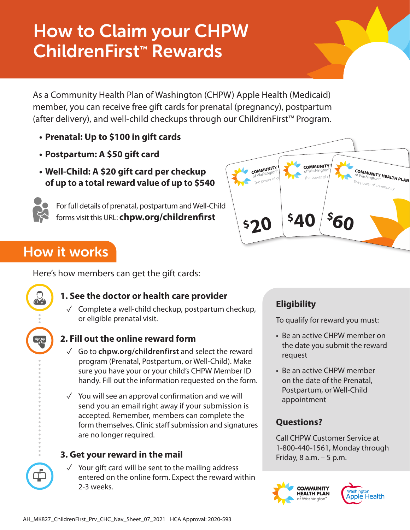# How to Claim your CHPW ChildrenFirst™ Rewards

As a Community Health Plan of Washington (CHPW) Apple Health (Medicaid) member, you can receive free gift cards for prenatal (pregnancy), postpartum (after delivery), and well-child checkups through our ChildrenFirst™ Program.

- **• Prenatal: Up to \$100 in gift cards**
- **• Postpartum: A \$50 gift card**
- **• Well-Child: A \$20 gift card per checkup of up to a total reward value of up to \$540**



For full details of prenatal, postpartum and Well-Child forms visit this URL: **chpw.org/childrenfirst**



# How it works

Here's how members can get the gift cards:



### **1. See the doctor or health care provider**

✓ Complete a well-child checkup, postpartum checkup, or eligible prenatal visit.



### **2. Fill out the online reward form**

- ✓ Go to **chpw.org/childrenfirst** and select the reward program (Prenatal, Postpartum, or Well-Child). Make sure you have your or your child's CHPW Member ID handy. Fill out the information requested on the form.
- $\sqrt{ }$  You will see an approval confirmation and we will send you an email right away if your submission is accepted. Remember, members can complete the form themselves. Clinic staff submission and signatures are no longer required.

### **3. Get your reward in the mail**

✓ Your gift card will be sent to the mailing address entered on the online form. Expect the reward within 2-3 weeks.

# **Eligibility**

To qualify for reward you must:

- Be an active CHPW member on the date you submit the reward request
- Be an active CHPW member on the date of the Prenatal, Postpartum, or Well-Child appointment

## **Questions?**

Call CHPW Customer Service at 1-800-440-1561, Monday through Friday, 8 a.m. – 5 p.m.